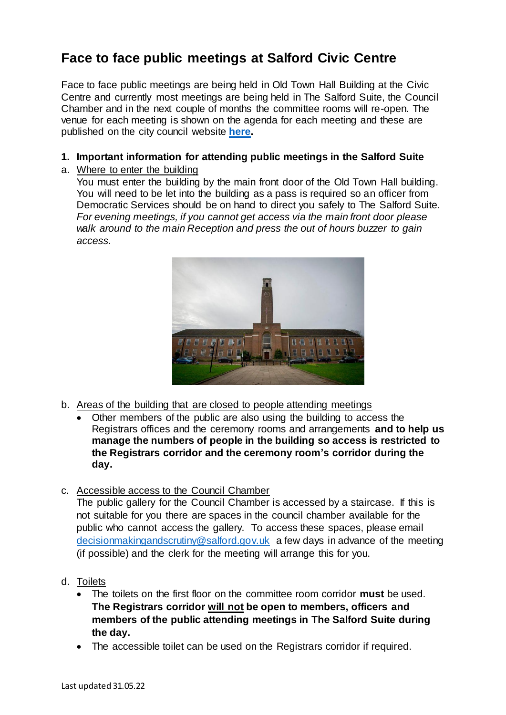## **Face to face public meetings at Salford Civic Centre**

Face to face public meetings are being held in Old Town Hall Building at the Civic Centre and currently most meetings are being held in The Salford Suite, the Council Chamber and in the next couple of months the committee rooms will re-open. The venue for each meeting is shown on the agenda for each meeting and these are published on the city council website **[here.](https://sccdemocracy.salford.gov.uk/mgListCommittees.aspx?bcr=1)**

## **1. Important information for attending public meetings in the Salford Suite**

a. Where to enter the building

You must enter the building by the main front door of the Old Town Hall building. You will need to be let into the building as a pass is required so an officer from Democratic Services should be on hand to direct you safely to The Salford Suite. *For evening meetings, if you cannot get access via the main front door please walk around to the main Reception and press the out of hours buzzer to gain access.* 



- b. Areas of the building that are closed to people attending meetings
	- Other members of the public are also using the building to access the Registrars offices and the ceremony rooms and arrangements **and to help us manage the numbers of people in the building so access is restricted to the Registrars corridor and the ceremony room's corridor during the day.**
- c. Accessible access to the Council Chamber

The public gallery for the Council Chamber is accessed by a staircase. If this is not suitable for you there are spaces in the council chamber available for the public who cannot access the gallery. To access these spaces, please email [decisionmakingandscrutiny@salford.gov.uk](mailto:decisionmakingandscrutiny@salford.gov.uk) a few days in advance of the meeting (if possible) and the clerk for the meeting will arrange this for you.

- d. Toilets
	- The toilets on the first floor on the committee room corridor **must** be used. **The Registrars corridor will not be open to members, officers and members of the public attending meetings in The Salford Suite during the day.**
	- The accessible toilet can be used on the Registrars corridor if required.